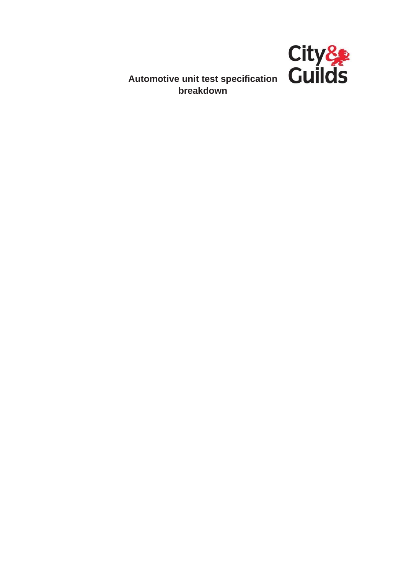

**breakdown**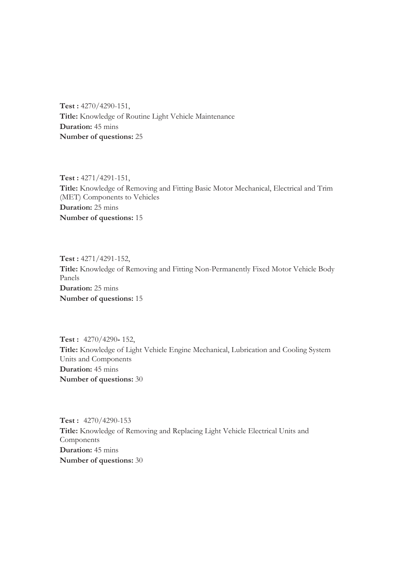**Test :** 4270/4290-151, **Title:** Knowledge of Routine Light Vehicle Maintenance **Duration:** 45 mins **Number of questions:** 25

**Test :** 4271/4291-151, **Title:** Knowledge of Removing and Fitting Basic Motor Mechanical, Electrical and Trim (MET) Components to Vehicles **Duration:** 25 mins **Number of questions:** 15

**Test :** 4271/4291-152, **Title:** Knowledge of Removing and Fitting Non-Permanently Fixed Motor Vehicle Body Panels **Duration:** 25 mins **Number of questions:** 15

**Test :** 4270/4290**-** 152, **Title:** Knowledge of Light Vehicle Engine Mechanical, Lubrication and Cooling System Units and Components **Duration:** 45 mins **Number of questions:** 30

**Test :** 4270/4290-153 **Title:** Knowledge of Removing and Replacing Light Vehicle Electrical Units and Components **Duration:** 45 mins **Number of questions:** 30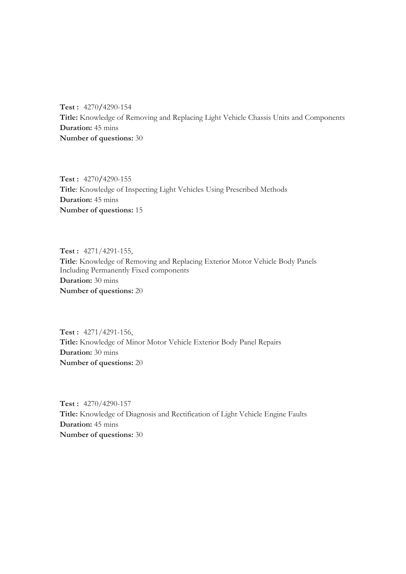**Test :** 4270**/**4290-154 **Title:** Knowledge of Removing and Replacing Light Vehicle Chassis Units and Components **Duration:** 45 mins **Number of questions:** 30

**Test :** 4270**/**4290-155 **Title**: Knowledge of Inspecting Light Vehicles Using Prescribed Methods **Duration:** 45 mins **Number of questions:** 15

**Test :** 4271/4291-155, **Title**: Knowledge of Removing and Replacing Exterior Motor Vehicle Body Panels Including Permanently Fixed components **Duration:** 30 mins **Number of questions:** 20

**Test :** 4271/4291-156, **Title:** Knowledge of Minor Motor Vehicle Exterior Body Panel Repairs **Duration:** 30 mins **Number of questions:** 20

**Test :** 4270/4290-157 **Title:** Knowledge of Diagnosis and Rectification of Light Vehicle Engine Faults **Duration:** 45 mins **Number of questions:** 30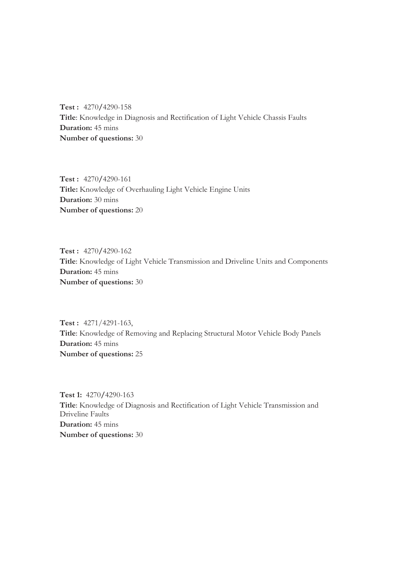**Test :** 4270**/**4290-158 **Title**: Knowledge in Diagnosis and Rectification of Light Vehicle Chassis Faults **Duration:** 45 mins **Number of questions:** 30

**Test :** 4270**/**4290-161 **Title:** Knowledge of Overhauling Light Vehicle Engine Units **Duration:** 30 mins **Number of questions:** 20

**Test :** 4270**/**4290-162 **Title**: Knowledge of Light Vehicle Transmission and Driveline Units and Components **Duration:** 45 mins **Number of questions:** 30

**Test :** 4271/4291-163, **Title**: Knowledge of Removing and Replacing Structural Motor Vehicle Body Panels **Duration:** 45 mins **Number of questions:** 25

**Test 1:** 4270**/**4290-163 **Title**: Knowledge of Diagnosis and Rectification of Light Vehicle Transmission and Driveline Faults **Duration:** 45 mins **Number of questions:** 30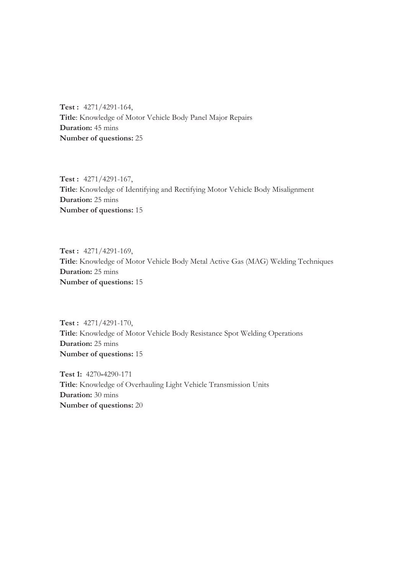**Test :** 4271/4291-164, **Title**: Knowledge of Motor Vehicle Body Panel Major Repairs **Duration:** 45 mins **Number of questions:** 25

**Test :** 4271/4291-167, **Title**: Knowledge of Identifying and Rectifying Motor Vehicle Body Misalignment **Duration:** 25 mins **Number of questions:** 15

**Test :** 4271/4291-169, **Title**: Knowledge of Motor Vehicle Body Metal Active Gas (MAG) Welding Techniques **Duration:** 25 mins **Number of questions:** 15

**Test :** 4271/4291-170, **Title**: Knowledge of Motor Vehicle Body Resistance Spot Welding Operations **Duration:** 25 mins **Number of questions:** 15

**Test 1:** 4270**-**4290-171 **Title**: Knowledge of Overhauling Light Vehicle Transmission Units **Duration:** 30 mins **Number of questions:** 20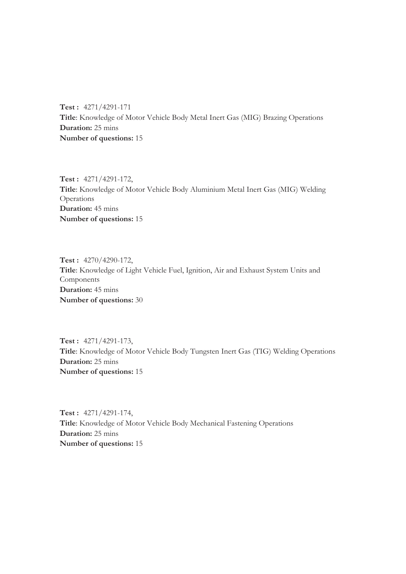**Test :** 4271/4291-171 **Title**: Knowledge of Motor Vehicle Body Metal Inert Gas (MIG) Brazing Operations **Duration:** 25 mins **Number of questions:** 15

**Test :** 4271/4291-172, **Title**: Knowledge of Motor Vehicle Body Aluminium Metal Inert Gas (MIG) Welding Operations **Duration:** 45 mins **Number of questions:** 15

**Test :** 4270/4290-172, **Title**: Knowledge of Light Vehicle Fuel, Ignition, Air and Exhaust System Units and Components **Duration:** 45 mins **Number of questions:** 30

**Test :** 4271/4291-173, **Title**: Knowledge of Motor Vehicle Body Tungsten Inert Gas (TIG) Welding Operations **Duration:** 25 mins **Number of questions:** 15

**Test :** 4271/4291-174, **Title**: Knowledge of Motor Vehicle Body Mechanical Fastening Operations **Duration:** 25 mins **Number of questions:** 15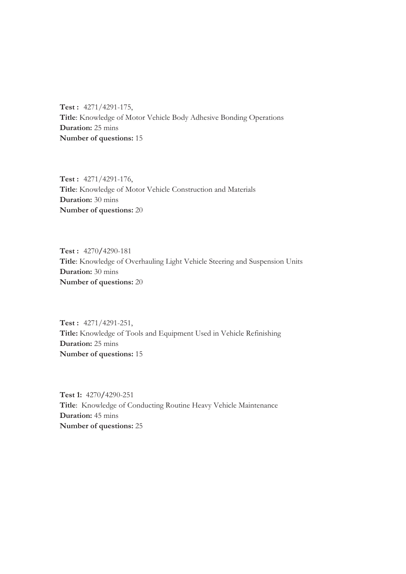**Test :** 4271/4291-175, **Title**: Knowledge of Motor Vehicle Body Adhesive Bonding Operations **Duration:** 25 mins **Number of questions:** 15

**Test :** 4271/4291-176, **Title**: Knowledge of Motor Vehicle Construction and Materials **Duration:** 30 mins **Number of questions:** 20

**Test :** 4270**/**4290-181 **Title**: Knowledge of Overhauling Light Vehicle Steering and Suspension Units **Duration:** 30 mins **Number of questions:** 20

**Test :** 4271/4291-251, **Title:** Knowledge of Tools and Equipment Used in Vehicle Refinishing **Duration:** 25 mins **Number of questions:** 15

**Test 1:** 4270**/**4290-251 **Title**: Knowledge of Conducting Routine Heavy Vehicle Maintenance **Duration:** 45 mins **Number of questions:** 25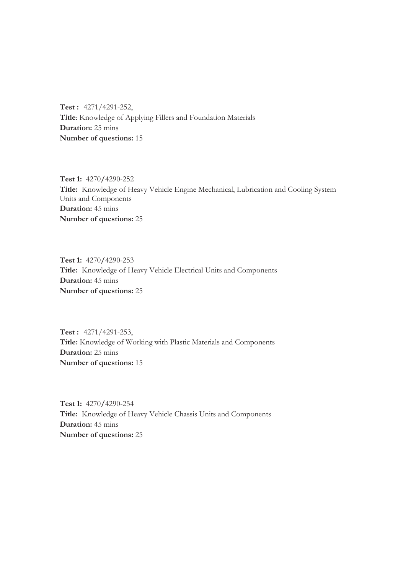**Test :** 4271/4291-252, **Title**: Knowledge of Applying Fillers and Foundation Materials **Duration:** 25 mins **Number of questions:** 15

**Test 1:** 4270**/**4290-252 **Title:** Knowledge of Heavy Vehicle Engine Mechanical, Lubrication and Cooling System Units and Components **Duration:** 45 mins **Number of questions:** 25

**Test 1:** 4270**/**4290-253 **Title:** Knowledge of Heavy Vehicle Electrical Units and Components **Duration:** 45 mins **Number of questions:** 25

**Test :** 4271/4291-253, **Title:** Knowledge of Working with Plastic Materials and Components **Duration:** 25 mins **Number of questions:** 15

**Test 1:** 4270**/**4290-254 **Title:** Knowledge of Heavy Vehicle Chassis Units and Components **Duration:** 45 mins **Number of questions:** 25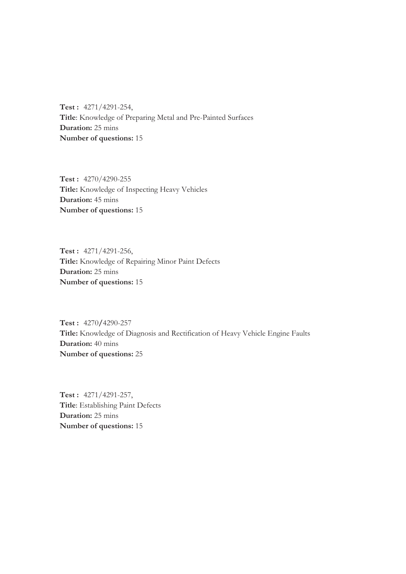**Test :** 4271/4291-254, **Title**: Knowledge of Preparing Metal and Pre-Painted Surfaces **Duration:** 25 mins **Number of questions:** 15

**Test :** 4270/4290-255 **Title:** Knowledge of Inspecting Heavy Vehicles **Duration:** 45 mins **Number of questions:** 15

**Test :** 4271/4291-256, **Title:** Knowledge of Repairing Minor Paint Defects **Duration:** 25 mins **Number of questions:** 15

**Test :** 4270**/**4290-257 **Title:** Knowledge of Diagnosis and Rectification of Heavy Vehicle Engine Faults **Duration:** 40 mins **Number of questions:** 25

**Test :** 4271/4291-257, **Title**: Establishing Paint Defects **Duration:** 25 mins **Number of questions:** 15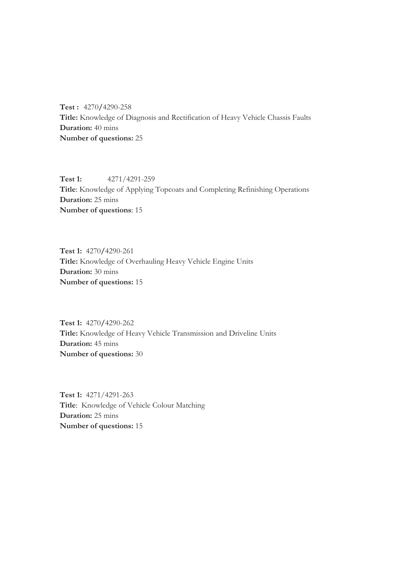**Test :** 4270**/**4290-258 **Title:** Knowledge of Diagnosis and Rectification of Heavy Vehicle Chassis Faults **Duration:** 40 mins **Number of questions:** 25

**Test 1:** 4271/4291-259 **Title**: Knowledge of Applying Topcoats and Completing Refinishing Operations **Duration:** 25 mins **Number of questions**: 15

**Test 1:** 4270**/**4290-261 **Title:** Knowledge of Overhauling Heavy Vehicle Engine Units **Duration:** 30 mins **Number of questions:** 15

**Test 1:** 4270**/**4290-262 **Title:** Knowledge of Heavy Vehicle Transmission and Driveline Units **Duration:** 45 mins **Number of questions:** 30

**Test 1:** 4271/4291-263 **Title**: Knowledge of Vehicle Colour Matching **Duration:** 25 mins **Number of questions:** 15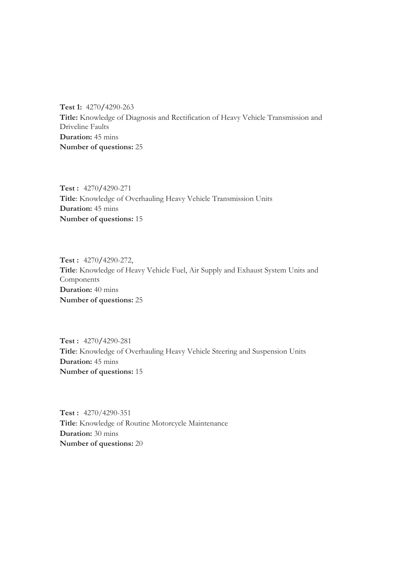**Test 1:** 4270**/**4290-263 **Title:** Knowledge of Diagnosis and Rectification of Heavy Vehicle Transmission and Driveline Faults **Duration:** 45 mins **Number of questions:** 25

**Test :** 4270**/**4290-271 **Title**: Knowledge of Overhauling Heavy Vehicle Transmission Units **Duration:** 45 mins **Number of questions:** 15

**Test :** 4270**/**4290-272, **Title**: Knowledge of Heavy Vehicle Fuel, Air Supply and Exhaust System Units and Components **Duration:** 40 mins **Number of questions:** 25

**Test :** 4270**/**4290-281 **Title**: Knowledge of Overhauling Heavy Vehicle Steering and Suspension Units **Duration:** 45 mins **Number of questions:** 15

**Test :** 4270/4290-351 **Title**: Knowledge of Routine Motorcycle Maintenance **Duration:** 30 mins **Number of questions:** 20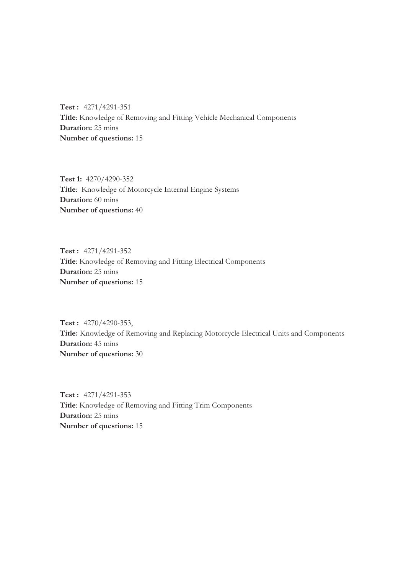**Test :** 4271/4291-351 **Title**: Knowledge of Removing and Fitting Vehicle Mechanical Components **Duration:** 25 mins **Number of questions:** 15

**Test 1:** 4270/4290-352 **Title**: Knowledge of Motorcycle Internal Engine Systems **Duration:** 60 mins **Number of questions:** 40

**Test :** 4271/4291-352 **Title**: Knowledge of Removing and Fitting Electrical Components **Duration:** 25 mins **Number of questions:** 15

**Test :** 4270/4290-353, **Title:** Knowledge of Removing and Replacing Motorcycle Electrical Units and Components **Duration:** 45 mins **Number of questions:** 30

**Test :** 4271/4291-353 **Title**: Knowledge of Removing and Fitting Trim Components **Duration:** 25 mins **Number of questions:** 15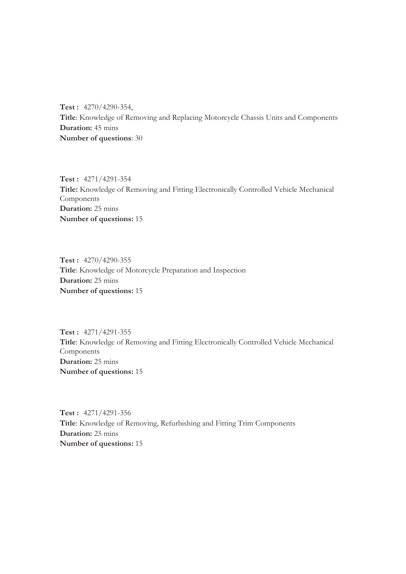**Test :** 4270/4290-354, **Title**: Knowledge of Removing and Replacing Motorcycle Chassis Units and Components **Duration:** 45 mins **Number of questions**: 30

**Test :** 4271/4291-354 **Title:** Knowledge of Removing and Fitting Electronically Controlled Vehicle Mechanical Components **Duration:** 25 mins **Number of questions:** 15

**Test :** 4270/4290-355 **Title**: Knowledge of Motorcycle Preparation and Inspection **Duration:** 25 mins **Number of questions:** 15

**Test :** 4271/4291-355 **Title**: Knowledge of Removing and Fitting Electronically Controlled Vehicle Mechanical Components **Duration:** 25 mins **Number of questions:** 15

**Test :** 4271/4291-356 **Title**: Knowledge of Removing, Refurbishing and Fitting Trim Components **Duration:** 25 mins **Number of questions:** 15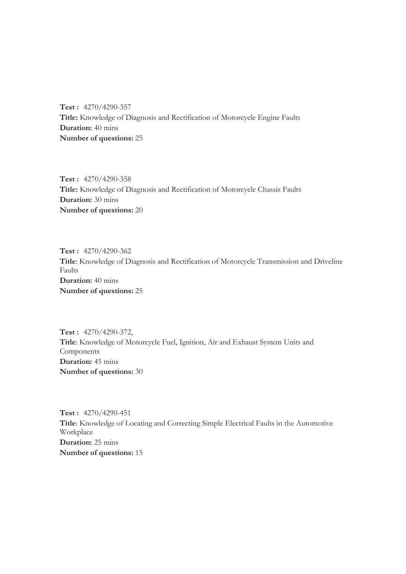**Test :** 4270/4290-357 **Title:** Knowledge of Diagnosis and Rectification of Motorcycle Engine Faults **Duration:** 40 mins **Number of questions:** 25

**Test :** 4270/4290-358 **Title:** Knowledge of Diagnosis and Rectification of Motorcycle Chassis Faults **Duration:** 30 mins **Number of questions:** 20

**Test :** 4270/4290-362 **Title**: Knowledge of Diagnosis and Rectification of Motorcycle Transmission and Driveline Faults **Duration:** 40 mins **Number of questions:** 25

**Test :** 4270/4290-372, **Title**: Knowledge of Motorcycle Fuel, Ignition, Air and Exhaust System Units and Components **Duration:** 45 mins **Number of questions:** 30

**Test :** 4270/4290-451 **Title**: Knowledge of Locating and Correcting Simple Electrical Faults in the Automotive Workplace **Duration:** 25 mins **Number of questions:** 15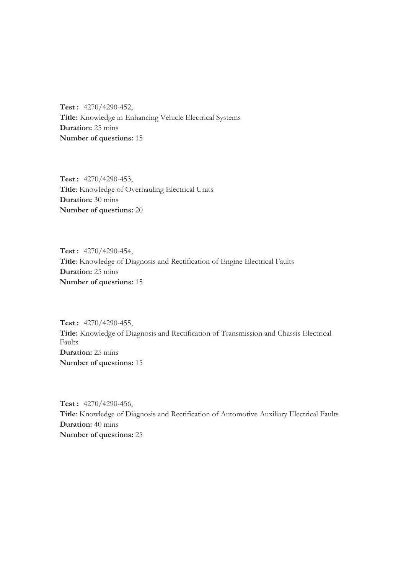**Test :** 4270/4290-452, **Title:** Knowledge in Enhancing Vehicle Electrical Systems **Duration:** 25 mins **Number of questions:** 15

**Test :** 4270/4290-453, **Title**: Knowledge of Overhauling Electrical Units **Duration:** 30 mins **Number of questions:** 20

**Test :** 4270/4290-454, **Title**: Knowledge of Diagnosis and Rectification of Engine Electrical Faults **Duration:** 25 mins **Number of questions:** 15

**Test :** 4270/4290-455, **Title:** Knowledge of Diagnosis and Rectification of Transmission and Chassis Electrical Faults **Duration:** 25 mins **Number of questions:** 15

**Test :** 4270/4290-456, **Title**: Knowledge of Diagnosis and Rectification of Automotive Auxiliary Electrical Faults **Duration:** 40 mins **Number of questions:** 25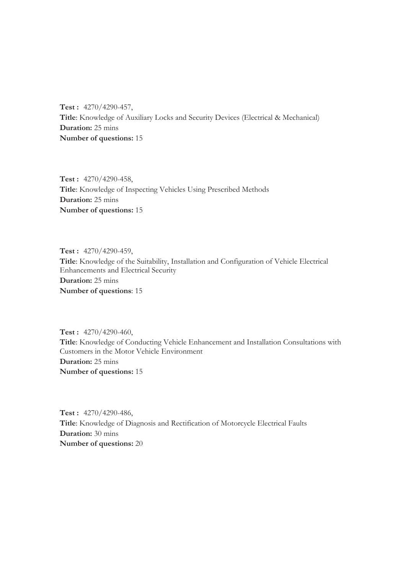**Test :** 4270/4290-457, **Title**: Knowledge of Auxiliary Locks and Security Devices (Electrical & Mechanical) **Duration:** 25 mins **Number of questions:** 15

**Test :** 4270/4290-458, **Title**: Knowledge of Inspecting Vehicles Using Prescribed Methods **Duration:** 25 mins **Number of questions:** 15

**Test :** 4270/4290-459, **Title**: Knowledge of the Suitability, Installation and Configuration of Vehicle Electrical Enhancements and Electrical Security **Duration:** 25 mins **Number of questions**: 15

**Test :** 4270/4290-460, **Title**: Knowledge of Conducting Vehicle Enhancement and Installation Consultations with Customers in the Motor Vehicle Environment **Duration:** 25 mins **Number of questions:** 15

**Test :** 4270/4290-486, **Title**: Knowledge of Diagnosis and Rectification of Motorcycle Electrical Faults **Duration:** 30 mins **Number of questions:** 20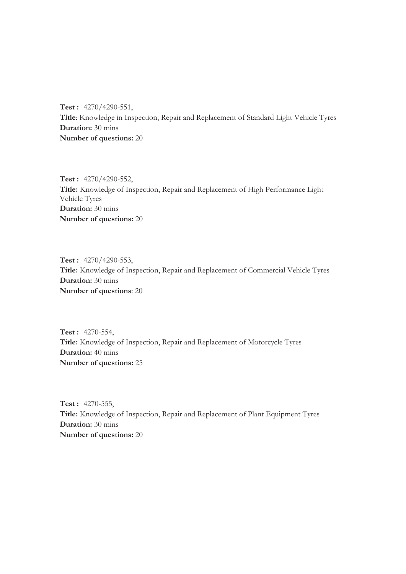**Test :** 4270/4290-551, **Title**: Knowledge in Inspection, Repair and Replacement of Standard Light Vehicle Tyres **Duration:** 30 mins **Number of questions:** 20

**Test :** 4270/4290-552, **Title:** Knowledge of Inspection, Repair and Replacement of High Performance Light Vehicle Tyres **Duration:** 30 mins **Number of questions:** 20

**Test :** 4270/4290-553, **Title:** Knowledge of Inspection, Repair and Replacement of Commercial Vehicle Tyres **Duration:** 30 mins **Number of questions**: 20

**Test :** 4270-554, **Title:** Knowledge of Inspection, Repair and Replacement of Motorcycle Tyres **Duration:** 40 mins **Number of questions:** 25

**Test :** 4270-555, **Title:** Knowledge of Inspection, Repair and Replacement of Plant Equipment Tyres **Duration:** 30 mins **Number of questions:** 20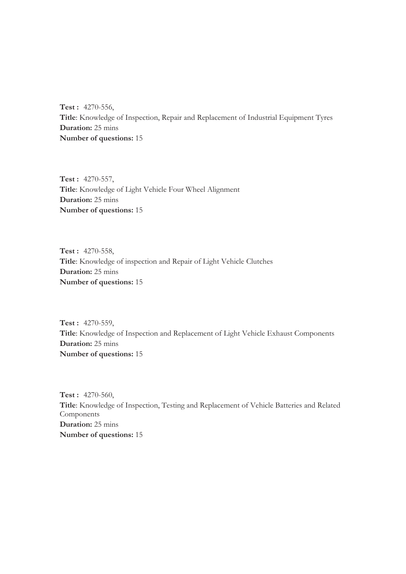**Test :** 4270-556, **Title**: Knowledge of Inspection, Repair and Replacement of Industrial Equipment Tyres **Duration:** 25 mins **Number of questions:** 15

**Test :** 4270-557, **Title**: Knowledge of Light Vehicle Four Wheel Alignment **Duration:** 25 mins **Number of questions:** 15

**Test :** 4270-558, **Title**: Knowledge of inspection and Repair of Light Vehicle Clutches **Duration:** 25 mins **Number of questions:** 15

**Test :** 4270-559, **Title**: Knowledge of Inspection and Replacement of Light Vehicle Exhaust Components **Duration:** 25 mins **Number of questions:** 15

**Test :** 4270-560, **Title**: Knowledge of Inspection, Testing and Replacement of Vehicle Batteries and Related Components **Duration:** 25 mins **Number of questions:** 15